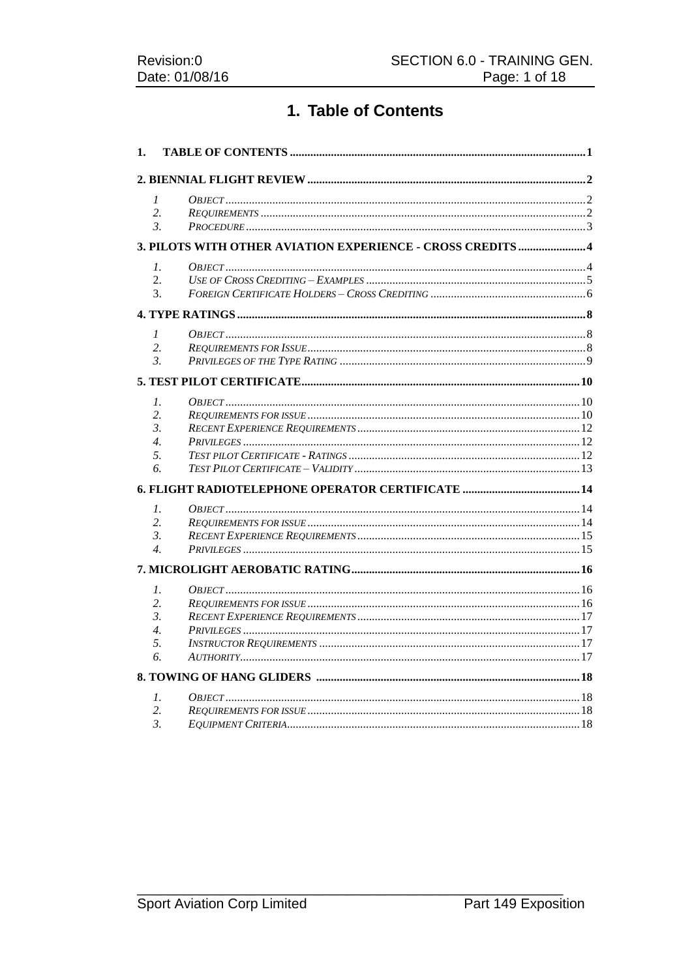# 1. Table of Contents

| 1. |                                                             |  |
|----|-------------------------------------------------------------|--|
|    |                                                             |  |
|    | 1                                                           |  |
|    | 2.                                                          |  |
|    | 3.                                                          |  |
|    | 3. PILOTS WITH OTHER AVIATION EXPERIENCE - CROSS CREDITS  4 |  |
|    | $\mathcal{I}$ .                                             |  |
|    | 2.                                                          |  |
|    | 3.                                                          |  |
|    |                                                             |  |
|    | $\mathcal{I}$                                               |  |
|    | 2.                                                          |  |
|    | $\mathfrak{Z}$                                              |  |
|    |                                                             |  |
|    |                                                             |  |
|    | 1.                                                          |  |
|    | 2.                                                          |  |
|    | 3.<br>$\overline{4}$ .                                      |  |
|    | 5.                                                          |  |
|    | б.                                                          |  |
|    |                                                             |  |
|    |                                                             |  |
|    | $\mathcal{I}$ .                                             |  |
|    | 2.                                                          |  |
|    | 3.                                                          |  |
|    | $\overline{4}$ .                                            |  |
|    |                                                             |  |
|    | $\mathcal{I}$ .                                             |  |
|    | 2.                                                          |  |
|    | 3.                                                          |  |
|    | $\overline{4}$ .                                            |  |
|    | 5.                                                          |  |
|    | 6.                                                          |  |
|    |                                                             |  |
|    | $\mathfrak{1}.$                                             |  |
|    | 2.                                                          |  |
|    | 3.                                                          |  |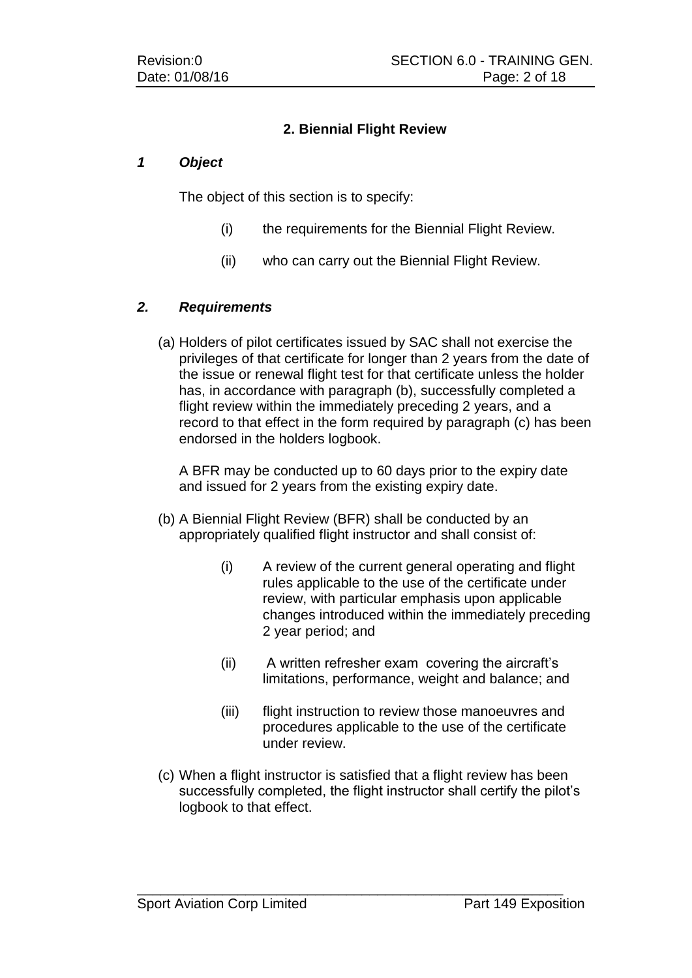### **2. Biennial Flight Review**

#### *1 Object*

The object of this section is to specify:

- (i) the requirements for the Biennial Flight Review.
- (ii) who can carry out the Biennial Flight Review.

### *2. Requirements*

(a) Holders of pilot certificates issued by SAC shall not exercise the privileges of that certificate for longer than 2 years from the date of the issue or renewal flight test for that certificate unless the holder has, in accordance with paragraph (b), successfully completed a flight review within the immediately preceding 2 years, and a record to that effect in the form required by paragraph (c) has been endorsed in the holders logbook.

A BFR may be conducted up to 60 days prior to the expiry date and issued for 2 years from the existing expiry date.

- (b) A Biennial Flight Review (BFR) shall be conducted by an appropriately qualified flight instructor and shall consist of:
	- (i) A review of the current general operating and flight rules applicable to the use of the certificate under review, with particular emphasis upon applicable changes introduced within the immediately preceding 2 year period; and
	- (ii) A written refresher exam covering the aircraft's limitations, performance, weight and balance; and
	- (iii) flight instruction to review those manoeuvres and procedures applicable to the use of the certificate under review.
- (c) When a flight instructor is satisfied that a flight review has been successfully completed, the flight instructor shall certify the pilot's logbook to that effect.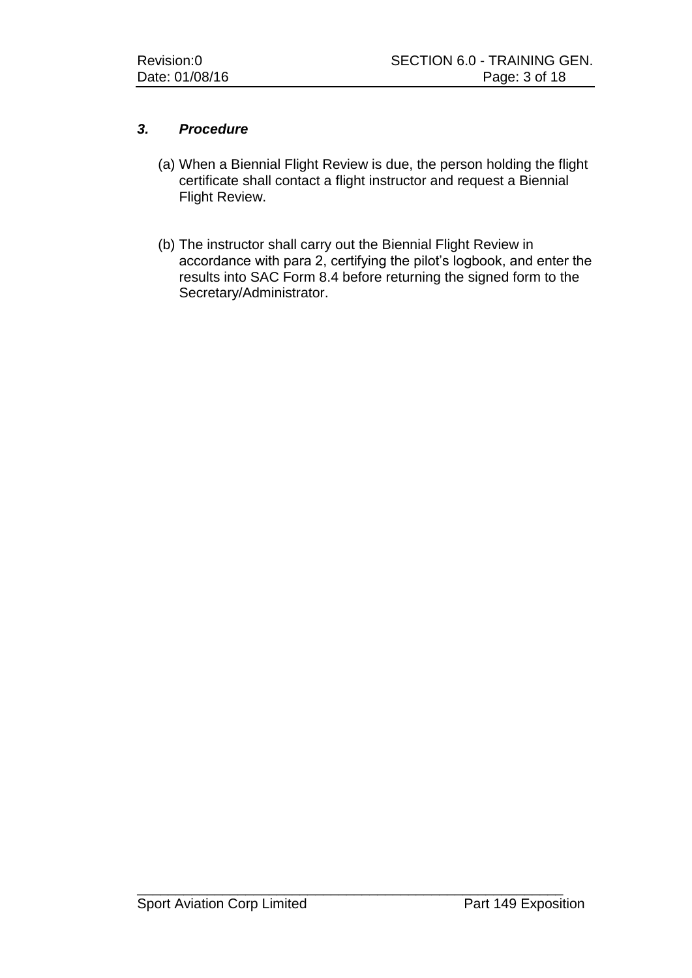### *3. Procedure*

- (a) When a Biennial Flight Review is due, the person holding the flight certificate shall contact a flight instructor and request a Biennial Flight Review.
- (b) The instructor shall carry out the Biennial Flight Review in accordance with para 2, certifying the pilot's logbook, and enter the results into SAC Form 8.4 before returning the signed form to the Secretary/Administrator.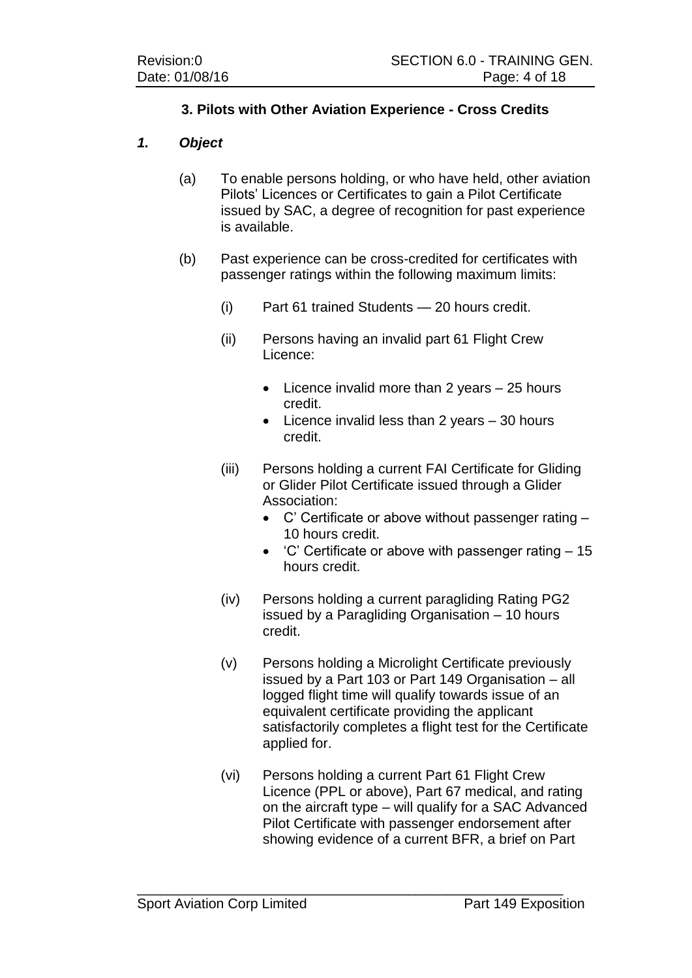## **3. Pilots with Other Aviation Experience - Cross Credits**

#### *1. Object*

- (a) To enable persons holding, or who have held, other aviation Pilots' Licences or Certificates to gain a Pilot Certificate issued by SAC, a degree of recognition for past experience is available.
- (b) Past experience can be cross-credited for certificates with passenger ratings within the following maximum limits:
	- (i) Part 61 trained Students 20 hours credit.
	- (ii) Persons having an invalid part 61 Flight Crew Licence:
		- $\bullet$  Licence invalid more than 2 years  $-25$  hours credit.
		- $\bullet$  Licence invalid less than 2 years  $-30$  hours credit.
	- (iii) Persons holding a current FAI Certificate for Gliding or Glider Pilot Certificate issued through a Glider Association:
		- C' Certificate or above without passenger rating 10 hours credit.
		- $\bullet$  'C' Certificate or above with passenger rating  $-15$ hours credit.
	- (iv) Persons holding a current paragliding Rating PG2 issued by a Paragliding Organisation – 10 hours credit.
	- (v) Persons holding a Microlight Certificate previously issued by a Part 103 or Part 149 Organisation – all logged flight time will qualify towards issue of an equivalent certificate providing the applicant satisfactorily completes a flight test for the Certificate applied for.
	- (vi) Persons holding a current Part 61 Flight Crew Licence (PPL or above), Part 67 medical, and rating on the aircraft type – will qualify for a SAC Advanced Pilot Certificate with passenger endorsement after showing evidence of a current BFR, a brief on Part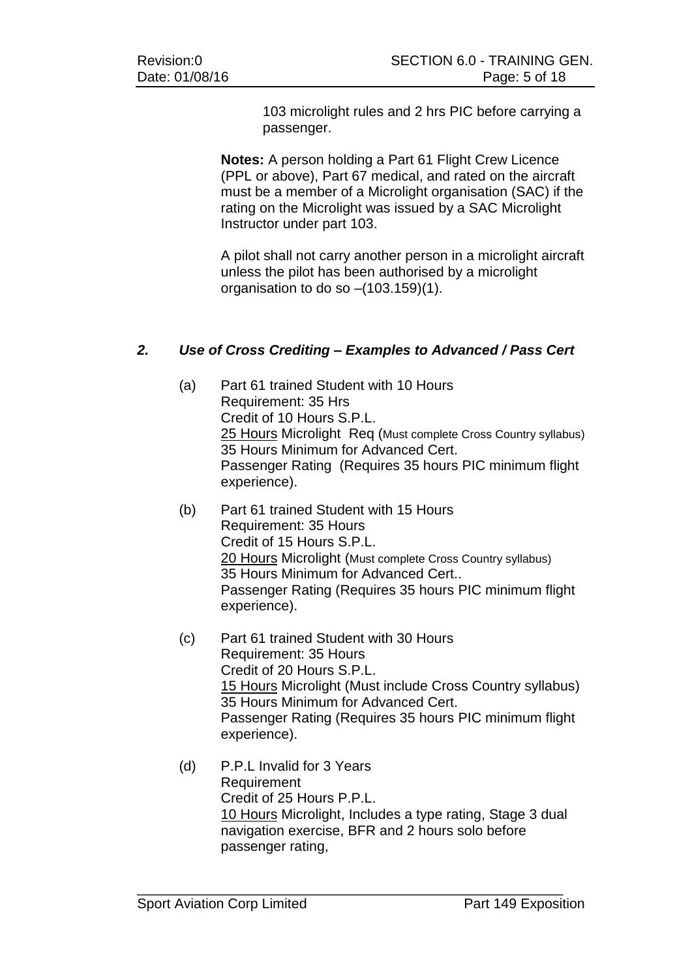103 microlight rules and 2 hrs PIC before carrying a passenger.

**Notes:** A person holding a Part 61 Flight Crew Licence (PPL or above), Part 67 medical, and rated on the aircraft must be a member of a Microlight organisation (SAC) if the rating on the Microlight was issued by a SAC Microlight Instructor under part 103.

A pilot shall not carry another person in a microlight aircraft unless the pilot has been authorised by a microlight organisation to do so –(103.159)(1).

### *2. Use of Cross Crediting – Examples to Advanced / Pass Cert*

- (a) Part 61 trained Student with 10 Hours Requirement: 35 Hrs Credit of 10 Hours S.P.L. 25 Hours Microlight Req (Must complete Cross Country syllabus) 35 Hours Minimum for Advanced Cert. Passenger Rating (Requires 35 hours PIC minimum flight experience).
- (b) Part 61 trained Student with 15 Hours Requirement: 35 Hours Credit of 15 Hours S.P.L. 20 Hours Microlight (Must complete Cross Country syllabus) 35 Hours Minimum for Advanced Cert.. Passenger Rating (Requires 35 hours PIC minimum flight experience).
- (c) Part 61 trained Student with 30 Hours Requirement: 35 Hours Credit of 20 Hours S.P.L. 15 Hours Microlight (Must include Cross Country syllabus) 35 Hours Minimum for Advanced Cert. Passenger Rating (Requires 35 hours PIC minimum flight experience).
- (d) P.P.L Invalid for 3 Years Requirement Credit of 25 Hours P.P.L. 10 Hours Microlight, Includes a type rating, Stage 3 dual navigation exercise, BFR and 2 hours solo before passenger rating,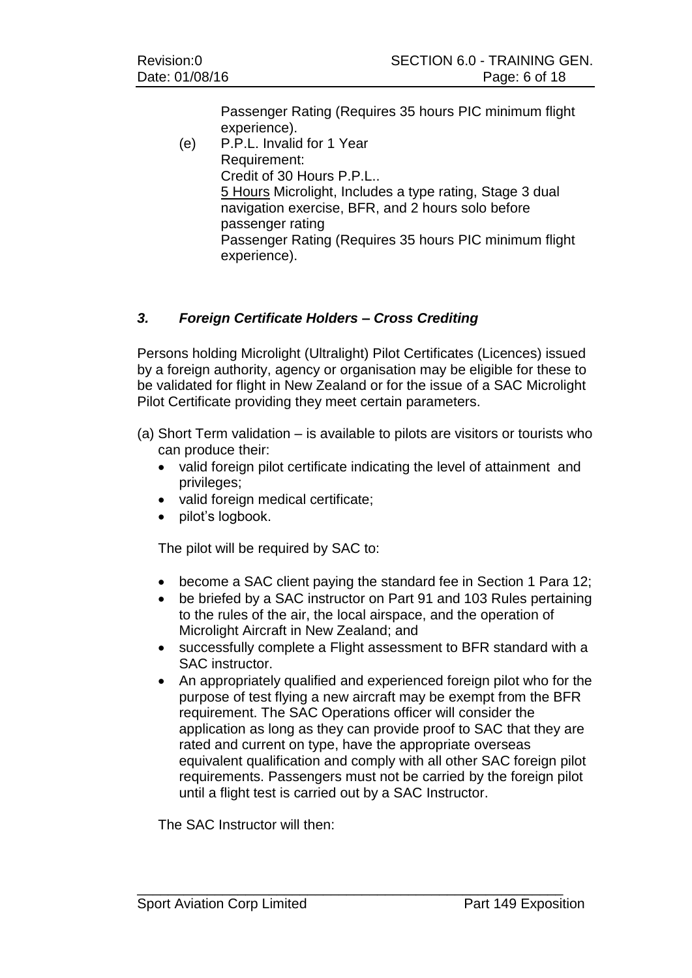Passenger Rating (Requires 35 hours PIC minimum flight experience).

(e) P.P.L. Invalid for 1 Year Requirement: Credit of 30 Hours P.P.L.. 5 Hours Microlight, Includes a type rating, Stage 3 dual navigation exercise, BFR, and 2 hours solo before passenger rating Passenger Rating (Requires 35 hours PIC minimum flight experience).

## *3. Foreign Certificate Holders – Cross Crediting*

Persons holding Microlight (Ultralight) Pilot Certificates (Licences) issued by a foreign authority, agency or organisation may be eligible for these to be validated for flight in New Zealand or for the issue of a SAC Microlight Pilot Certificate providing they meet certain parameters.

- (a) Short Term validation is available to pilots are visitors or tourists who can produce their:
	- valid foreign pilot certificate indicating the level of attainment and privileges;
	- valid foreign medical certificate;
	- pilot's logbook.

The pilot will be required by SAC to:

- become a SAC client paying the standard fee in Section 1 Para 12;
- be briefed by a SAC instructor on Part 91 and 103 Rules pertaining to the rules of the air, the local airspace, and the operation of Microlight Aircraft in New Zealand; and
- successfully complete a Flight assessment to BFR standard with a SAC instructor.
- An appropriately qualified and experienced foreign pilot who for the purpose of test flying a new aircraft may be exempt from the BFR requirement. The SAC Operations officer will consider the application as long as they can provide proof to SAC that they are rated and current on type, have the appropriate overseas equivalent qualification and comply with all other SAC foreign pilot requirements. Passengers must not be carried by the foreign pilot until a flight test is carried out by a SAC Instructor.

\_\_\_\_\_\_\_\_\_\_\_\_\_\_\_\_\_\_\_\_\_\_\_\_\_\_\_\_\_\_\_\_\_\_\_\_\_\_\_\_\_\_\_\_\_\_\_\_\_\_\_\_\_\_\_

The SAC Instructor will then: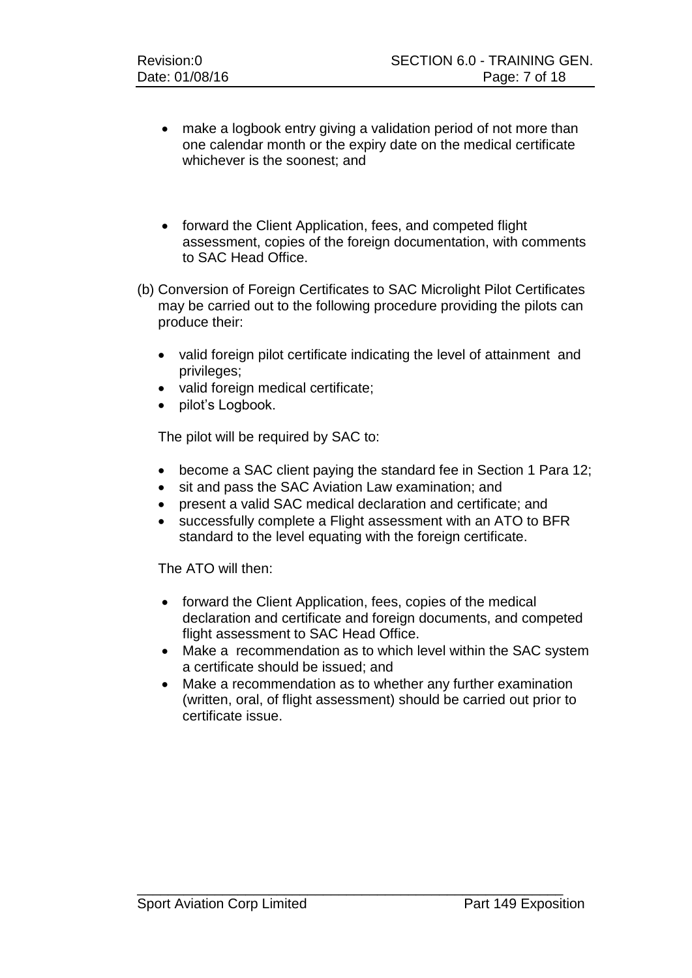- make a logbook entry giving a validation period of not more than one calendar month or the expiry date on the medical certificate whichever is the soonest; and
- forward the Client Application, fees, and competed flight assessment, copies of the foreign documentation, with comments to SAC Head Office.
- (b) Conversion of Foreign Certificates to SAC Microlight Pilot Certificates may be carried out to the following procedure providing the pilots can produce their:
	- valid foreign pilot certificate indicating the level of attainment and privileges;
	- valid foreign medical certificate;
	- pilot's Logbook.

The pilot will be required by SAC to:

- become a SAC client paying the standard fee in Section 1 Para 12;
- sit and pass the SAC Aviation Law examination; and
- present a valid SAC medical declaration and certificate; and
- successfully complete a Flight assessment with an ATO to BFR standard to the level equating with the foreign certificate.

The ATO will then:

- forward the Client Application, fees, copies of the medical declaration and certificate and foreign documents, and competed flight assessment to SAC Head Office.
- Make a recommendation as to which level within the SAC system a certificate should be issued; and
- Make a recommendation as to whether any further examination (written, oral, of flight assessment) should be carried out prior to certificate issue.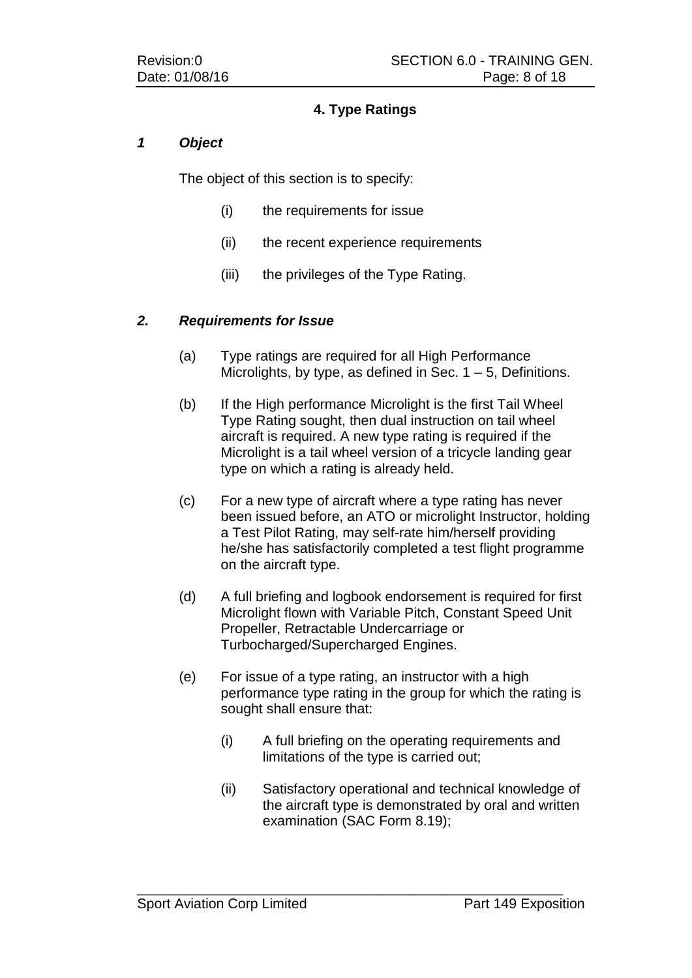## **4. Type Ratings**

#### *1 Object*

The object of this section is to specify:

- (i) the requirements for issue
- (ii) the recent experience requirements
- (iii) the privileges of the Type Rating.

#### *2. Requirements for Issue*

- (a) Type ratings are required for all High Performance Microlights, by type, as defined in Sec.  $1 - 5$ , Definitions.
- (b) If the High performance Microlight is the first Tail Wheel Type Rating sought, then dual instruction on tail wheel aircraft is required. A new type rating is required if the Microlight is a tail wheel version of a tricycle landing gear type on which a rating is already held.
- (c) For a new type of aircraft where a type rating has never been issued before, an ATO or microlight Instructor, holding a Test Pilot Rating, may self-rate him/herself providing he/she has satisfactorily completed a test flight programme on the aircraft type.
- (d) A full briefing and logbook endorsement is required for first Microlight flown with Variable Pitch, Constant Speed Unit Propeller, Retractable Undercarriage or Turbocharged/Supercharged Engines.
- (e) For issue of a type rating, an instructor with a high performance type rating in the group for which the rating is sought shall ensure that:
	- (i) A full briefing on the operating requirements and limitations of the type is carried out;
	- (ii) Satisfactory operational and technical knowledge of the aircraft type is demonstrated by oral and written examination (SAC Form 8.19);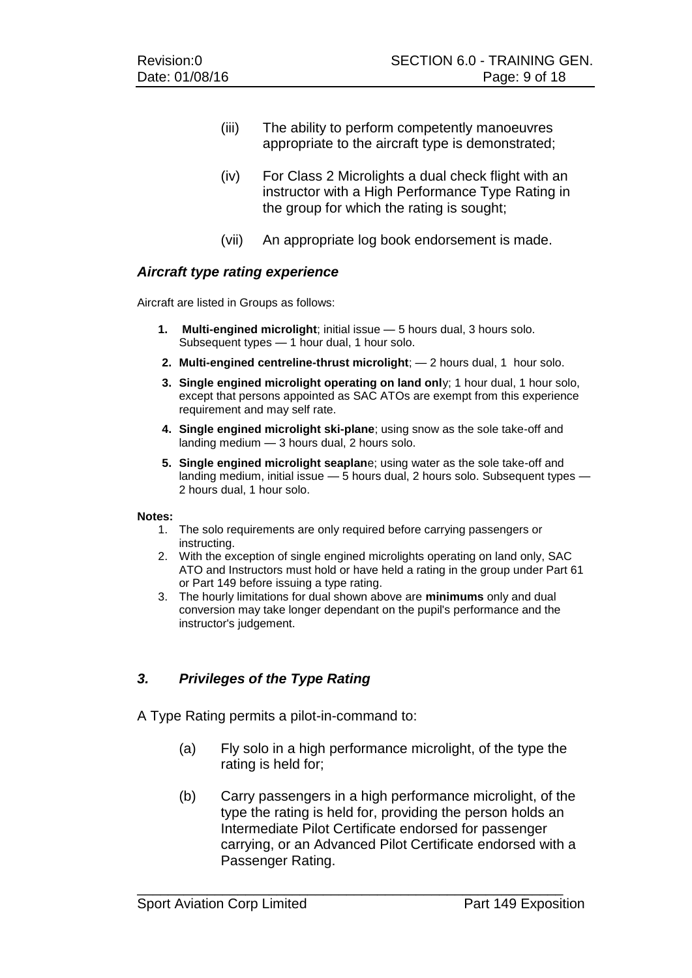- (iii) The ability to perform competently manoeuvres appropriate to the aircraft type is demonstrated;
- (iv) For Class 2 Microlights a dual check flight with an instructor with a High Performance Type Rating in the group for which the rating is sought;
- (vii) An appropriate log book endorsement is made.

#### *Aircraft type rating experience*

Aircraft are listed in Groups as follows:

- **1. Multi-engined microlight**; initial issue 5 hours dual, 3 hours solo. Subsequent types — 1 hour dual, 1 hour solo.
- **2. Multi-engined centreline-thrust microlight**; 2 hours dual, 1 hour solo.
- **3. Single engined microlight operating on land onl**y; 1 hour dual, 1 hour solo, except that persons appointed as SAC ATOs are exempt from this experience requirement and may self rate.
- **4. Single engined microlight ski-plane**; using snow as the sole take-off and landing medium — 3 hours dual, 2 hours solo.
- **5. Single engined microlight seaplan**e; using water as the sole take-off and landing medium, initial issue — 5 hours dual, 2 hours solo. Subsequent types — 2 hours dual, 1 hour solo.

#### **Notes:**

- 1. The solo requirements are only required before carrying passengers or instructing.
- 2. With the exception of single engined microlights operating on land only, SAC ATO and Instructors must hold or have held a rating in the group under Part 61 or Part 149 before issuing a type rating.
- 3. The hourly limitations for dual shown above are **minimums** only and dual conversion may take longer dependant on the pupil's performance and the instructor's judgement.

### *3. Privileges of the Type Rating*

A Type Rating permits a pilot-in-command to:

- (a) Fly solo in a high performance microlight, of the type the rating is held for;
- (b) Carry passengers in a high performance microlight, of the type the rating is held for, providing the person holds an Intermediate Pilot Certificate endorsed for passenger carrying, or an Advanced Pilot Certificate endorsed with a Passenger Rating.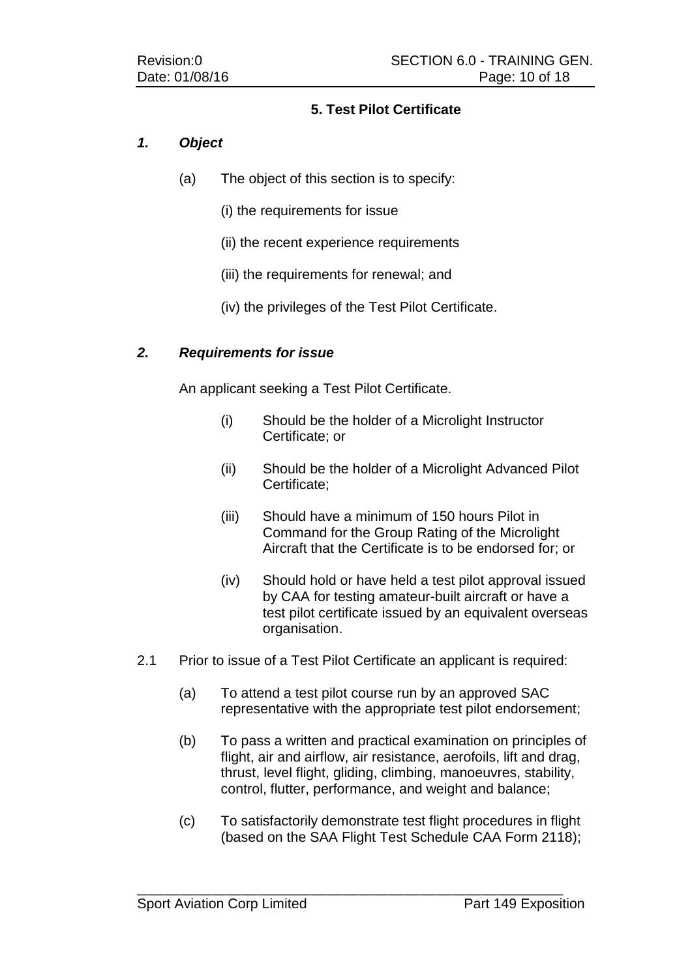### **5. Test Pilot Certificate**

### *1. Object*

- (a) The object of this section is to specify:
	- (i) the requirements for issue
	- (ii) the recent experience requirements
	- (iii) the requirements for renewal; and
	- (iv) the privileges of the Test Pilot Certificate.

### *2. Requirements for issue*

An applicant seeking a Test Pilot Certificate.

- (i) Should be the holder of a Microlight Instructor Certificate; or
- (ii) Should be the holder of a Microlight Advanced Pilot Certificate;
- (iii) Should have a minimum of 150 hours Pilot in Command for the Group Rating of the Microlight Aircraft that the Certificate is to be endorsed for; or
- (iv) Should hold or have held a test pilot approval issued by CAA for testing amateur-built aircraft or have a test pilot certificate issued by an equivalent overseas organisation.
- 2.1 Prior to issue of a Test Pilot Certificate an applicant is required:
	- (a) To attend a test pilot course run by an approved SAC representative with the appropriate test pilot endorsement;
	- (b) To pass a written and practical examination on principles of flight, air and airflow, air resistance, aerofoils, lift and drag, thrust, level flight, gliding, climbing, manoeuvres, stability, control, flutter, performance, and weight and balance;
	- (c) To satisfactorily demonstrate test flight procedures in flight (based on the SAA Flight Test Schedule CAA Form 2118);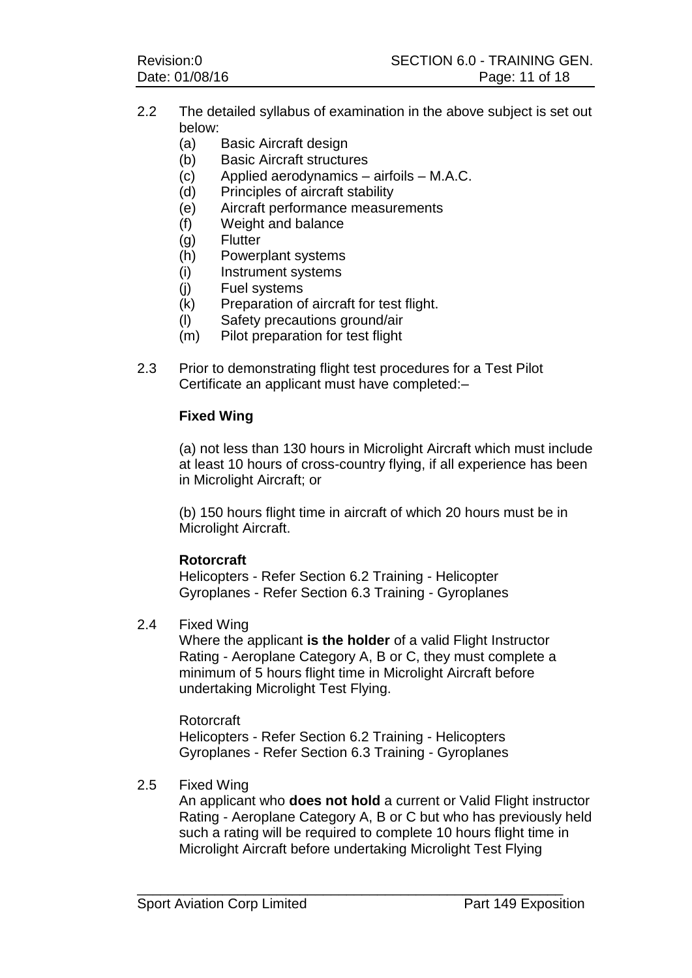- 2.2 The detailed syllabus of examination in the above subject is set out below:
	- (a) Basic Aircraft design
	- (b) Basic Aircraft structures
	- (c) Applied aerodynamics airfoils M.A.C.
	- (d) Principles of aircraft stability
	- (e) Aircraft performance measurements
	- (f) Weight and balance
	- (g) Flutter
	- (h) Powerplant systems
	- (i) Instrument systems
	- (j) Fuel systems
	- (k) Preparation of aircraft for test flight.
	- (l) Safety precautions ground/air
	- (m) Pilot preparation for test flight
- 2.3 Prior to demonstrating flight test procedures for a Test Pilot Certificate an applicant must have completed:–

#### **Fixed Wing**

(a) not less than 130 hours in Microlight Aircraft which must include at least 10 hours of cross-country flying, if all experience has been in Microlight Aircraft; or

(b) 150 hours flight time in aircraft of which 20 hours must be in Microlight Aircraft.

#### **Rotorcraft**

Helicopters - Refer Section 6.2 Training - Helicopter Gyroplanes - Refer Section 6.3 Training - Gyroplanes

#### 2.4 Fixed Wing

Where the applicant **is the holder** of a valid Flight Instructor Rating - Aeroplane Category A, B or C, they must complete a minimum of 5 hours flight time in Microlight Aircraft before undertaking Microlight Test Flying.

Rotorcraft Helicopters - Refer Section 6.2 Training - Helicopters Gyroplanes - Refer Section 6.3 Training - Gyroplanes

\_\_\_\_\_\_\_\_\_\_\_\_\_\_\_\_\_\_\_\_\_\_\_\_\_\_\_\_\_\_\_\_\_\_\_\_\_\_\_\_\_\_\_\_\_\_\_\_\_\_\_\_\_\_\_

#### 2.5 Fixed Wing

An applicant who **does not hold** a current or Valid Flight instructor Rating - Aeroplane Category A, B or C but who has previously held such a rating will be required to complete 10 hours flight time in Microlight Aircraft before undertaking Microlight Test Flying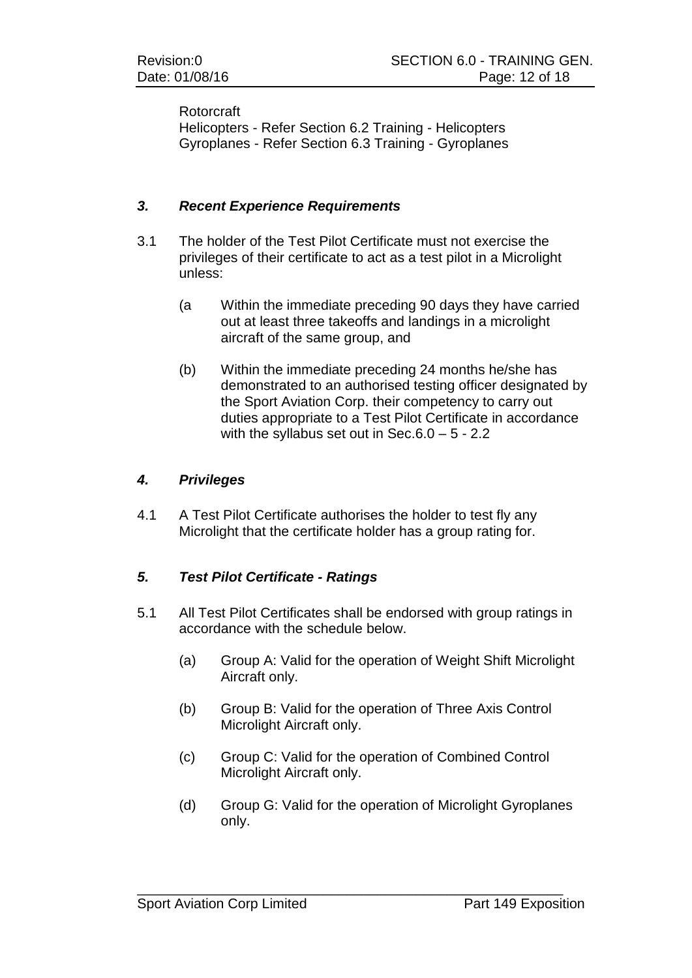#### Rotorcraft

Helicopters - Refer Section 6.2 Training - Helicopters Gyroplanes - Refer Section 6.3 Training - Gyroplanes

#### *3. Recent Experience Requirements*

- 3.1 The holder of the Test Pilot Certificate must not exercise the privileges of their certificate to act as a test pilot in a Microlight unless:
	- (a Within the immediate preceding 90 days they have carried out at least three takeoffs and landings in a microlight aircraft of the same group, and
	- (b) Within the immediate preceding 24 months he/she has demonstrated to an authorised testing officer designated by the Sport Aviation Corp. their competency to carry out duties appropriate to a Test Pilot Certificate in accordance with the syllabus set out in Sec.6.0 – 5 - 2.2

#### *4. Privileges*

4.1 A Test Pilot Certificate authorises the holder to test fly any Microlight that the certificate holder has a group rating for.

### *5. Test Pilot Certificate - Ratings*

- 5.1 All Test Pilot Certificates shall be endorsed with group ratings in accordance with the schedule below.
	- (a) Group A: Valid for the operation of Weight Shift Microlight Aircraft only.
	- (b) Group B: Valid for the operation of Three Axis Control Microlight Aircraft only.
	- (c) Group C: Valid for the operation of Combined Control Microlight Aircraft only.

\_\_\_\_\_\_\_\_\_\_\_\_\_\_\_\_\_\_\_\_\_\_\_\_\_\_\_\_\_\_\_\_\_\_\_\_\_\_\_\_\_\_\_\_\_\_\_\_\_\_\_\_\_\_\_

(d) Group G: Valid for the operation of Microlight Gyroplanes only.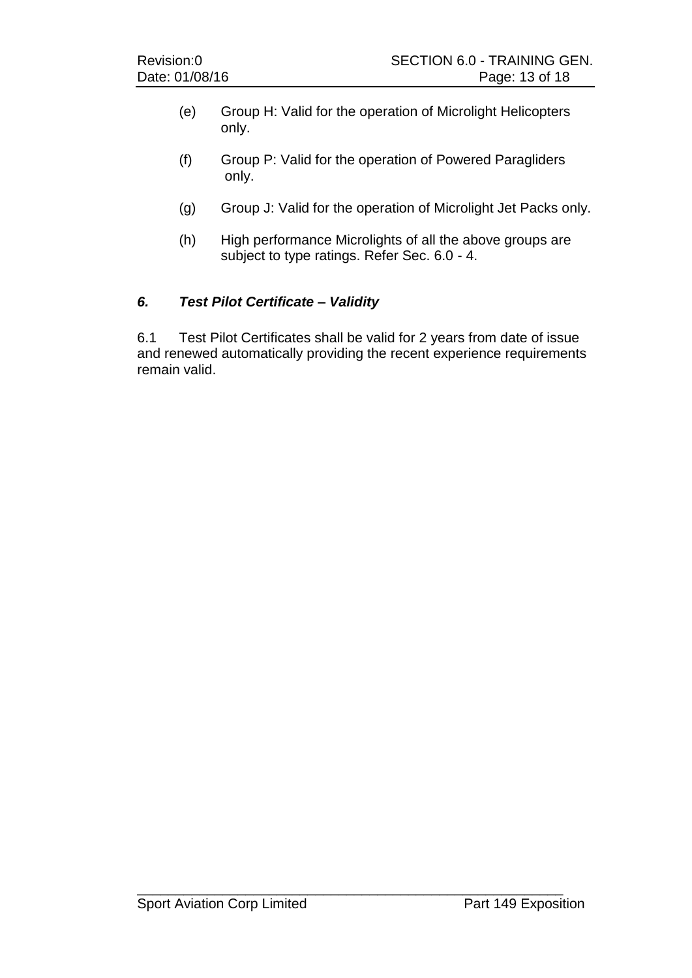- (e) Group H: Valid for the operation of Microlight Helicopters only.
- (f) Group P: Valid for the operation of Powered Paragliders only.
- (g) Group J: Valid for the operation of Microlight Jet Packs only.
- (h) High performance Microlights of all the above groups are subject to type ratings. Refer Sec. 6.0 - 4.

### *6. Test Pilot Certificate – Validity*

6.1 Test Pilot Certificates shall be valid for 2 years from date of issue and renewed automatically providing the recent experience requirements remain valid.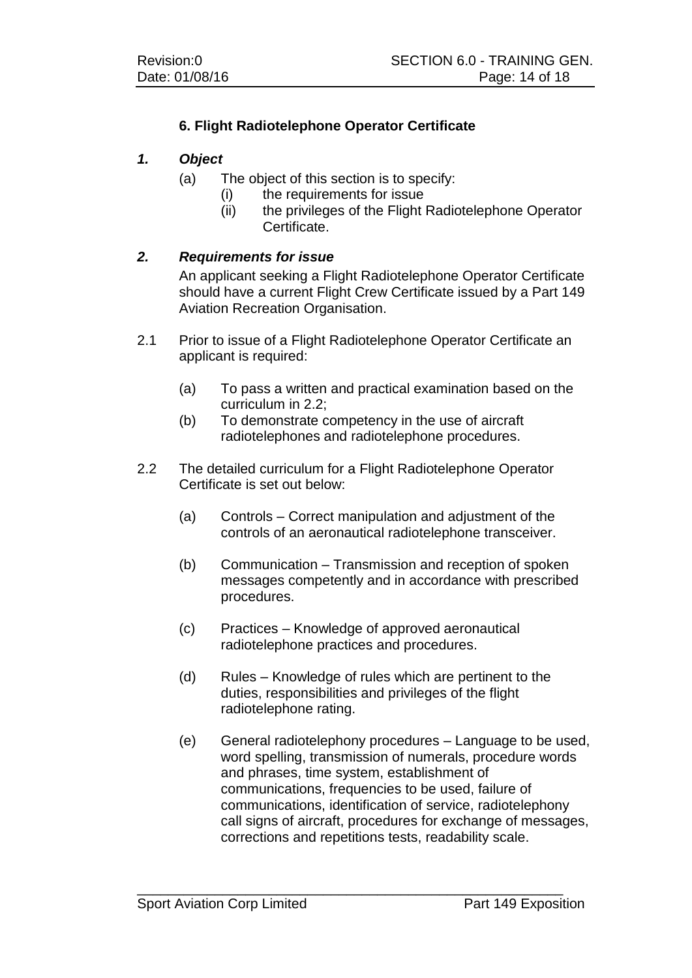## **6. Flight Radiotelephone Operator Certificate**

#### *1. Object*

- (a) The object of this section is to specify:
	- - (i) the requirements for issue<br>(ii) the privileges of the Flight the privileges of the Flight Radiotelephone Operator Certificate.

#### *2. Requirements for issue*

An applicant seeking a Flight Radiotelephone Operator Certificate should have a current Flight Crew Certificate issued by a Part 149 Aviation Recreation Organisation.

- 2.1 Prior to issue of a Flight Radiotelephone Operator Certificate an applicant is required:
	- (a) To pass a written and practical examination based on the curriculum in 2.2;
	- (b) To demonstrate competency in the use of aircraft radiotelephones and radiotelephone procedures.
- 2.2 The detailed curriculum for a Flight Radiotelephone Operator Certificate is set out below:
	- (a) Controls Correct manipulation and adjustment of the controls of an aeronautical radiotelephone transceiver.
	- (b) Communication Transmission and reception of spoken messages competently and in accordance with prescribed procedures.
	- (c) Practices Knowledge of approved aeronautical radiotelephone practices and procedures.

- (d) Rules Knowledge of rules which are pertinent to the duties, responsibilities and privileges of the flight radiotelephone rating.
- (e) General radiotelephony procedures Language to be used, word spelling, transmission of numerals, procedure words and phrases, time system, establishment of communications, frequencies to be used, failure of communications, identification of service, radiotelephony call signs of aircraft, procedures for exchange of messages, corrections and repetitions tests, readability scale.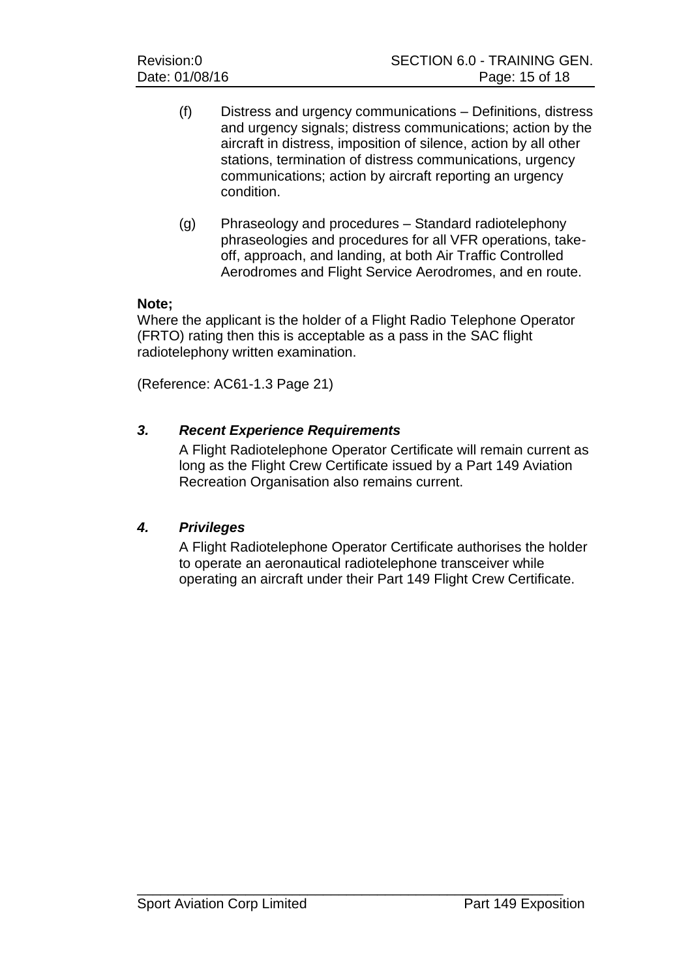- (f) Distress and urgency communications Definitions, distress and urgency signals; distress communications; action by the aircraft in distress, imposition of silence, action by all other stations, termination of distress communications, urgency communications; action by aircraft reporting an urgency condition.
- (g) Phraseology and procedures Standard radiotelephony phraseologies and procedures for all VFR operations, takeoff, approach, and landing, at both Air Traffic Controlled Aerodromes and Flight Service Aerodromes, and en route.

#### **Note;**

Where the applicant is the holder of a Flight Radio Telephone Operator (FRTO) rating then this is acceptable as a pass in the SAC flight radiotelephony written examination.

(Reference: AC61-1.3 Page 21)

### *3. Recent Experience Requirements*

A Flight Radiotelephone Operator Certificate will remain current as long as the Flight Crew Certificate issued by a Part 149 Aviation Recreation Organisation also remains current.

### *4. Privileges*

A Flight Radiotelephone Operator Certificate authorises the holder to operate an aeronautical radiotelephone transceiver while operating an aircraft under their Part 149 Flight Crew Certificate.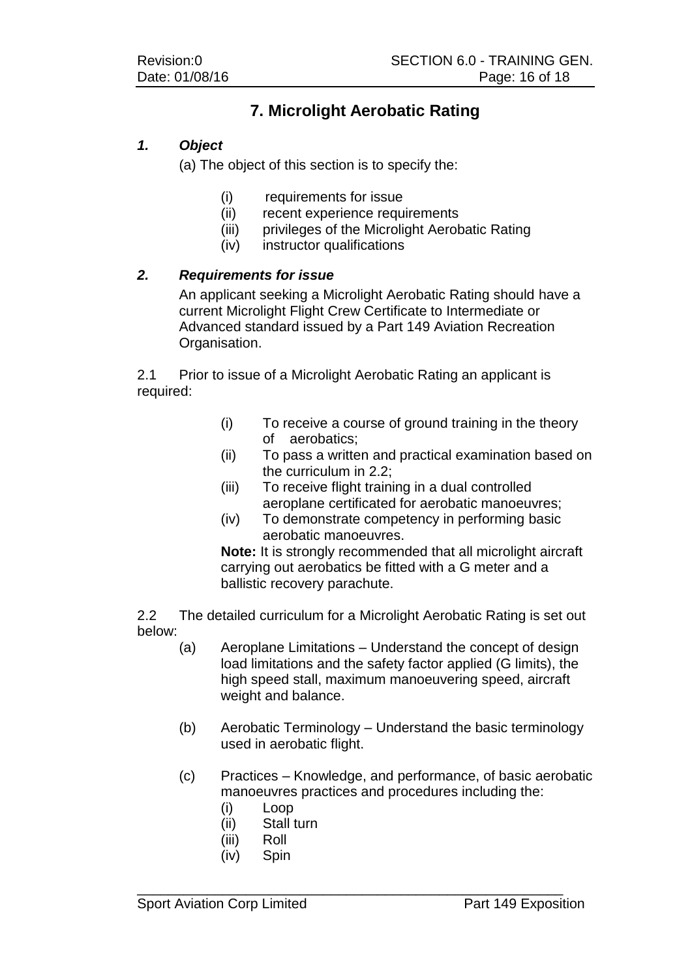## **7. Microlight Aerobatic Rating**

## *1. Object*

(a) The object of this section is to specify the:

- (i) requirements for issue<br>(ii) recent experience requ
- recent experience requirements
- (iii) privileges of the Microlight Aerobatic Rating
- (iv) instructor qualifications

### *2. Requirements for issue*

An applicant seeking a Microlight Aerobatic Rating should have a current Microlight Flight Crew Certificate to Intermediate or Advanced standard issued by a Part 149 Aviation Recreation Organisation.

2.1 Prior to issue of a Microlight Aerobatic Rating an applicant is required:

- (i) To receive a course of ground training in the theory of aerobatics;
- (ii) To pass a written and practical examination based on the curriculum in 2.2;
- (iii) To receive flight training in a dual controlled aeroplane certificated for aerobatic manoeuvres;
- (iv) To demonstrate competency in performing basic aerobatic manoeuvres.

**Note:** It is strongly recommended that all microlight aircraft carrying out aerobatics be fitted with a G meter and a ballistic recovery parachute.

2.2 The detailed curriculum for a Microlight Aerobatic Rating is set out below:

- (a) Aeroplane Limitations Understand the concept of design load limitations and the safety factor applied (G limits), the high speed stall, maximum manoeuvering speed, aircraft weight and balance.
- (b) Aerobatic Terminology Understand the basic terminology used in aerobatic flight.
- (c) Practices Knowledge, and performance, of basic aerobatic manoeuvres practices and procedures including the:
	- (i) Loop
	- (ii) Stall turn
	- (iii) Roll
	- (iv) Spin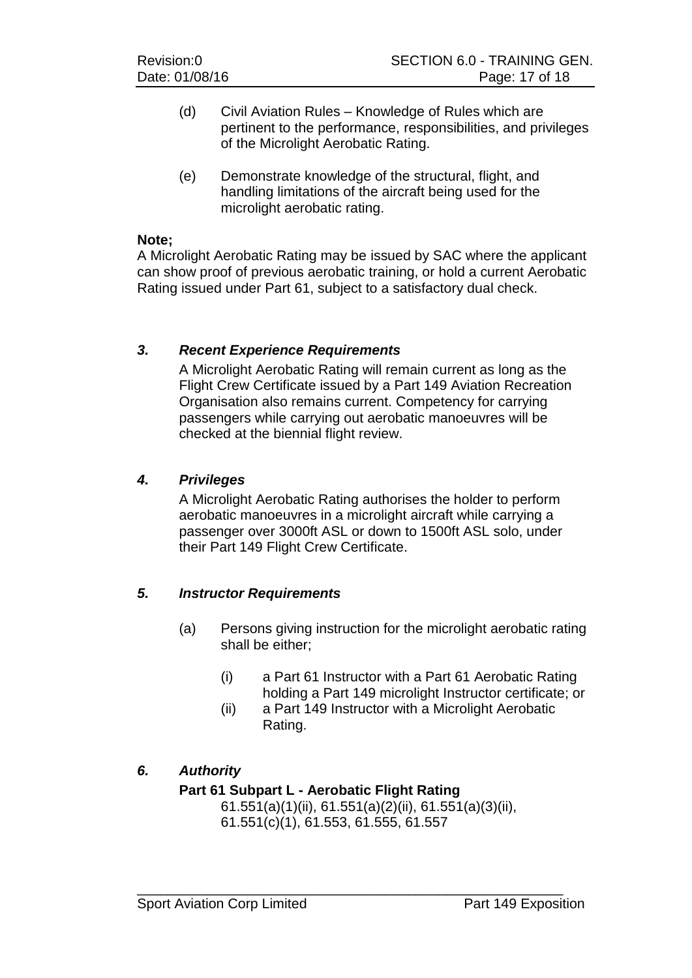- (d) Civil Aviation Rules Knowledge of Rules which are pertinent to the performance, responsibilities, and privileges of the Microlight Aerobatic Rating.
- (e) Demonstrate knowledge of the structural, flight, and handling limitations of the aircraft being used for the microlight aerobatic rating.

#### **Note;**

A Microlight Aerobatic Rating may be issued by SAC where the applicant can show proof of previous aerobatic training, or hold a current Aerobatic Rating issued under Part 61, subject to a satisfactory dual check.

#### *3. Recent Experience Requirements*

A Microlight Aerobatic Rating will remain current as long as the Flight Crew Certificate issued by a Part 149 Aviation Recreation Organisation also remains current. Competency for carrying passengers while carrying out aerobatic manoeuvres will be checked at the biennial flight review.

#### *4. Privileges*

A Microlight Aerobatic Rating authorises the holder to perform aerobatic manoeuvres in a microlight aircraft while carrying a passenger over 3000ft ASL or down to 1500ft ASL solo, under their Part 149 Flight Crew Certificate.

### *5. Instructor Requirements*

- (a) Persons giving instruction for the microlight aerobatic rating shall be either;
	- (i) a Part 61 Instructor with a Part 61 Aerobatic Rating holding a Part 149 microlight Instructor certificate; or
	- (ii) a Part 149 Instructor with a Microlight Aerobatic Rating.

### *6. Authority*

### **Part 61 Subpart L - Aerobatic Flight Rating**

61.551(a)(1)(ii), 61.551(a)(2)(ii), 61.551(a)(3)(ii), 61.551(c)(1), 61.553, 61.555, 61.557